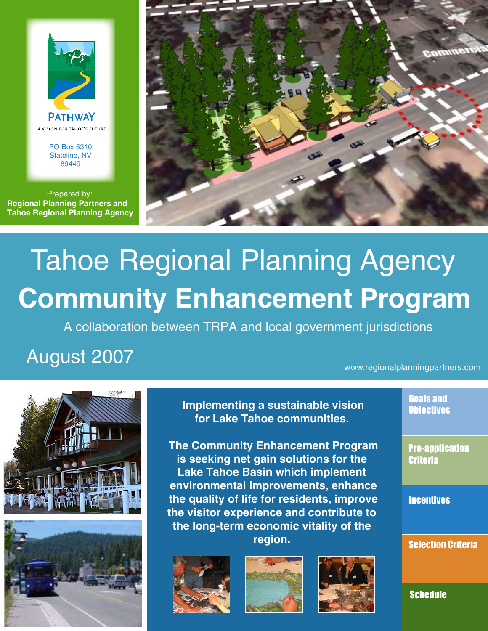

PO Box 5310 Stateline, NV 89449

Prepared by: **Regional Planning Partners and Tahoe Regional Planning Agency** 



# Tahoe Regional Planning Agency **Community Enhancement Program**

A collaboration between TRPA and local government jurisdictions

# August 2007

# www.regionalplanningpartners.com





**Implementing a sustainable vision for Lake Tahoe communities.** 

**The Community Enhancement Program is seeking net gain solutions for the Lake Tahoe Basin which implement environmental improvements, enhance the quality of life for residents, improve the visitor experience and contribute to the long-term economic vitality of the region.** 







Goals and **Objectives** 

Pre-application **Criteria** 

**Incentives** 

Selection Criteria

**Schedule**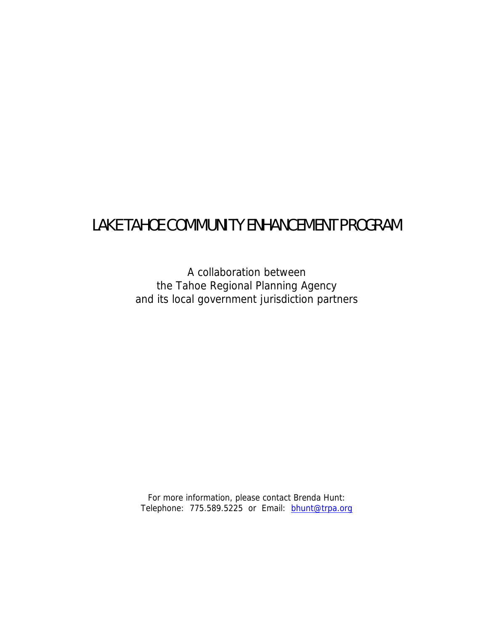# LAKE TAHOE COMMUNITY ENHANCEMENT PROGRAM

A collaboration between the Tahoe Regional Planning Agency and its local government jurisdiction partners

For more information, please contact Brenda Hunt: Telephone: 775.589.5225 or Email: **bhunt@trpa.org**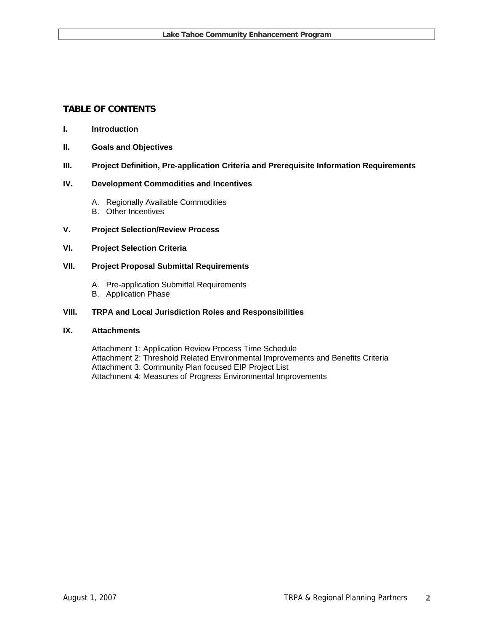# **TABLE OF CONTENTS**

#### **I. Introduction**

**II. Goals and Objectives** 

#### **III. Project Definition, Pre-application Criteria and Prerequisite Information Requirements**

#### **IV. Development Commodities and Incentives**

- A. Regionally Available Commodities
- B. Other Incentives

#### **V. Project Selection/Review Process**

#### **VI. Project Selection Criteria**

#### **VII. Project Proposal Submittal Requirements**

- A. Pre-application Submittal Requirements
- B. Application Phase

#### **VIII. TRPA and Local Jurisdiction Roles and Responsibilities**

#### **IX. Attachments**

Attachment 1: Application Review Process Time Schedule Attachment 2: Threshold Related Environmental Improvements and Benefits Criteria Attachment 3: Community Plan focused EIP Project List Attachment 4: Measures of Progress Environmental Improvements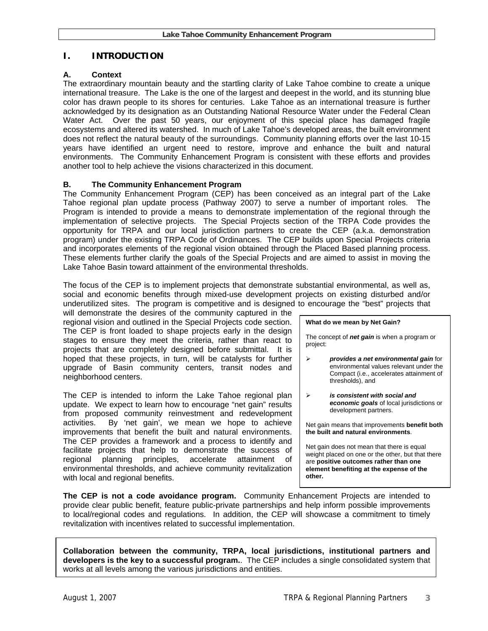# **I. INTRODUCTION**

#### **A. Context**

The extraordinary mountain beauty and the startling clarity of Lake Tahoe combine to create a unique international treasure. The Lake is the one of the largest and deepest in the world, and its stunning blue color has drawn people to its shores for centuries. Lake Tahoe as an international treasure is further acknowledged by its designation as an Outstanding National Resource Water under the Federal Clean Water Act. Over the past 50 years, our enjoyment of this special place has damaged fragile ecosystems and altered its watershed. In much of Lake Tahoe's developed areas, the built environment does not reflect the natural beauty of the surroundings. Community planning efforts over the last 10-15 years have identified an urgent need to restore, improve and enhance the built and natural environments. The Community Enhancement Program is consistent with these efforts and provides another tool to help achieve the visions characterized in this document.

#### **B. The Community Enhancement Program**

The Community Enhancement Program (CEP) has been conceived as an integral part of the Lake Tahoe regional plan update process (Pathway 2007) to serve a number of important roles. The Program is intended to provide a means to demonstrate implementation of the regional through the implementation of selective projects. The Special Projects section of the TRPA Code provides the opportunity for TRPA and our local jurisdiction partners to create the CEP (a.k.a. demonstration program) under the existing TRPA Code of Ordinances. The CEP builds upon Special Projects criteria and incorporates elements of the regional vision obtained through the Placed Based planning process. These elements further clarify the goals of the Special Projects and are aimed to assist in moving the Lake Tahoe Basin toward attainment of the environmental thresholds.

The focus of the CEP is to implement projects that demonstrate substantial environmental, as well as, social and economic benefits through mixed-use development projects on existing disturbed and/or underutilized sites. The program is competitive and is designed to encourage the "best" projects that

will demonstrate the desires of the community captured in the regional vision and outlined in the Special Projects code section. The CEP is front loaded to shape projects early in the design stages to ensure they meet the criteria, rather than react to projects that are completely designed before submittal. It is hoped that these projects, in turn, will be catalysts for further upgrade of Basin community centers, transit nodes and neighborhood centers.

The CEP is intended to inform the Lake Tahoe regional plan update. We expect to learn how to encourage "net gain" results from proposed community reinvestment and redevelopment activities. By 'net gain', we mean we hope to achieve improvements that benefit the built and natural environments. The CEP provides a framework and a process to identify and facilitate projects that help to demonstrate the success of regional planning principles, accelerate attainment of environmental thresholds, and achieve community revitalization with local and regional benefits.

**What do we mean by Net Gain?** 

The concept of *net gain* is when a program or project:

- ¾ *provides a net environmental gain* for environmental values relevant under the Compact (i.e., accelerates attainment of thresholds), and
- ¾ *is consistent with social and economic goals* of local jurisdictions or development partners.

Net gain means that improvements **benefit both the built and natural environments**.

Net gain does not mean that there is equal weight placed on one or the other, but that there are **positive outcomes rather than one element benefiting at the expense of the other.**

**The CEP is not a code avoidance program.** Community Enhancement Projects are intended to provide clear public benefit, feature public-private partnerships and help inform possible improvements to local/regional codes and regulations. In addition, the CEP will showcase a commitment to timely revitalization with incentives related to successful implementation.

**Collaboration between the community, TRPA, local jurisdictions, institutional partners and developers is the key to a successful program.**. The CEP includes a single consolidated system that works at all levels among the various jurisdictions and entities.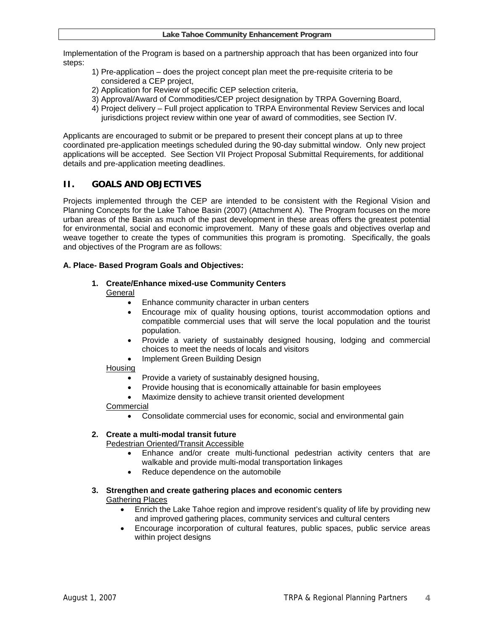Implementation of the Program is based on a partnership approach that has been organized into four steps:

- 1) Pre-application does the project concept plan meet the pre-requisite criteria to be considered a CEP project,
- 2) Application for Review of specific CEP selection criteria,
- 3) Approval/Award of Commodities/CEP project designation by TRPA Governing Board,
- 4) Project delivery Full project application to TRPA Environmental Review Services and local jurisdictions project review within one year of award of commodities, see Section IV.

Applicants are encouraged to submit or be prepared to present their concept plans at up to three coordinated pre-application meetings scheduled during the 90-day submittal window. Only new project applications will be accepted. See Section VII Project Proposal Submittal Requirements, for additional details and pre-application meeting deadlines.

# **II. GOALS AND OBJECTIVES**

Projects implemented through the CEP are intended to be consistent with the Regional Vision and Planning Concepts for the Lake Tahoe Basin (2007) (Attachment A). The Program focuses on the more urban areas of the Basin as much of the past development in these areas offers the greatest potential for environmental, social and economic improvement. Many of these goals and objectives overlap and weave together to create the types of communities this program is promoting. Specifically, the goals and objectives of the Program are as follows:

#### **A. Place- Based Program Goals and Objectives:**

# **1. Create/Enhance mixed-use Community Centers**

# **General**

- Enhance community character in urban centers
- Encourage mix of quality housing options, tourist accommodation options and compatible commercial uses that will serve the local population and the tourist population.
- Provide a variety of sustainably designed housing, lodging and commercial choices to meet the needs of locals and visitors
- Implement Green Building Design

#### Housing

- Provide a variety of sustainably designed housing,
- Provide housing that is economically attainable for basin employees
- Maximize density to achieve transit oriented development

#### **Commercial**

• Consolidate commercial uses for economic, social and environmental gain

# **2. Create a multi-modal transit future**

# Pedestrian Oriented/Transit Accessible

- Enhance and/or create multi-functional pedestrian activity centers that are walkable and provide multi-modal transportation linkages
- Reduce dependence on the automobile

#### **3. Strengthen and create gathering places and economic centers**  Gathering Places

- Enrich the Lake Tahoe region and improve resident's quality of life by providing new and improved gathering places, community services and cultural centers
- Encourage incorporation of cultural features, public spaces, public service areas within project designs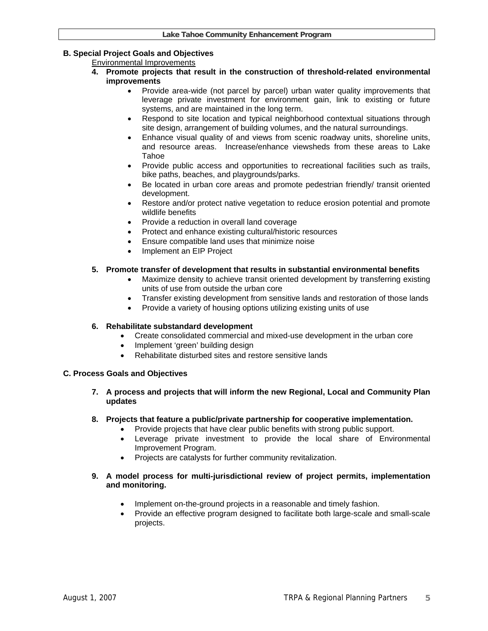# **B. Special Project Goals and Objectives**

# Environmental Improvements

- **4. Promote projects that result in the construction of threshold-related environmental improvements** 
	- Provide area-wide (not parcel by parcel) urban water quality improvements that leverage private investment for environment gain, link to existing or future systems, and are maintained in the long term.
	- Respond to site location and typical neighborhood contextual situations through site design, arrangement of building volumes, and the natural surroundings.
	- Enhance visual quality of and views from scenic roadway units, shoreline units, and resource areas. Increase/enhance viewsheds from these areas to Lake Tahoe
	- Provide public access and opportunities to recreational facilities such as trails, bike paths, beaches, and playgrounds/parks.
	- Be located in urban core areas and promote pedestrian friendly/ transit oriented development.
	- Restore and/or protect native vegetation to reduce erosion potential and promote wildlife benefits
	- Provide a reduction in overall land coverage
	- Protect and enhance existing cultural/historic resources
	- Ensure compatible land uses that minimize noise
	- Implement an EIP Project

# **5. Promote transfer of development that results in substantial environmental benefits**

- Maximize density to achieve transit oriented development by transferring existing units of use from outside the urban core
- Transfer existing development from sensitive lands and restoration of those lands
- Provide a variety of housing options utilizing existing units of use

# **6. Rehabilitate substandard development**

- Create consolidated commercial and mixed-use development in the urban core
- Implement 'green' building design
- Rehabilitate disturbed sites and restore sensitive lands

# **C. Process Goals and Objectives**

- **7. A process and projects that will inform the new Regional, Local and Community Plan updates**
- **8. Projects that feature a public/private partnership for cooperative implementation.** 
	- Provide projects that have clear public benefits with strong public support.
	- Leverage private investment to provide the local share of Environmental Improvement Program.
	- Projects are catalysts for further community revitalization.

#### **9. A model process for multi-jurisdictional review of project permits, implementation and monitoring.**

- Implement on-the-ground projects in a reasonable and timely fashion.
- Provide an effective program designed to facilitate both large-scale and small-scale projects.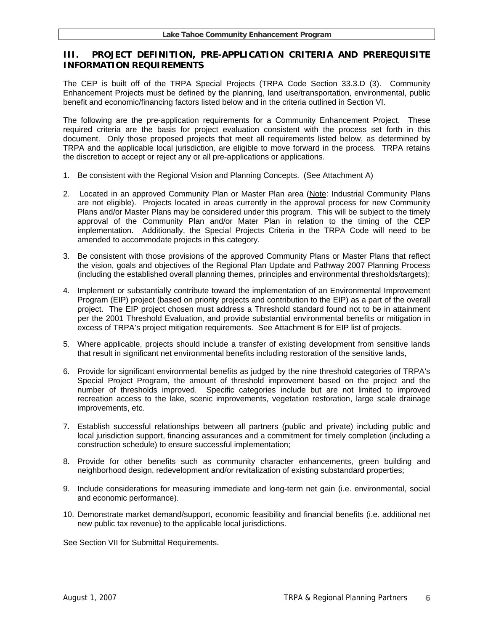# **III. PROJECT DEFINITION, PRE-APPLICATION CRITERIA AND PREREQUISITE INFORMATION REQUIREMENTS**

The CEP is built off of the TRPA Special Projects (TRPA Code Section 33.3.D (3). Community Enhancement Projects must be defined by the planning, land use/transportation, environmental, public benefit and economic/financing factors listed below and in the criteria outlined in Section VI.

The following are the pre-application requirements for a Community Enhancement Project. These required criteria are the basis for project evaluation consistent with the process set forth in this document. Only those proposed projects that meet all requirements listed below, as determined by TRPA and the applicable local jurisdiction, are eligible to move forward in the process. TRPA retains the discretion to accept or reject any or all pre-applications or applications.

- 1. Be consistent with the Regional Vision and Planning Concepts. (See Attachment A)
- 2. Located in an approved Community Plan or Master Plan area (Note: Industrial Community Plans are not eligible). Projects located in areas currently in the approval process for new Community Plans and/or Master Plans may be considered under this program. This will be subject to the timely approval of the Community Plan and/or Mater Plan in relation to the timing of the CEP implementation. Additionally, the Special Projects Criteria in the TRPA Code will need to be amended to accommodate projects in this category.
- 3. Be consistent with those provisions of the approved Community Plans or Master Plans that reflect the vision, goals and objectives of the Regional Plan Update and Pathway 2007 Planning Process (including the established overall planning themes, principles and environmental thresholds/targets);
- 4. Implement or substantially contribute toward the implementation of an Environmental Improvement Program (EIP) project (based on priority projects and contribution to the EIP) as a part of the overall project. The EIP project chosen must address a Threshold standard found not to be in attainment per the 2001 Threshold Evaluation, and provide substantial environmental benefits or mitigation in excess of TRPA's project mitigation requirements. See Attachment B for EIP list of projects.
- 5. Where applicable, projects should include a transfer of existing development from sensitive lands that result in significant net environmental benefits including restoration of the sensitive lands,
- 6. Provide for significant environmental benefits as judged by the nine threshold categories of TRPA's Special Project Program, the amount of threshold improvement based on the project and the number of thresholds improved. Specific categories include but are not limited to improved recreation access to the lake, scenic improvements, vegetation restoration, large scale drainage improvements, etc.
- 7. Establish successful relationships between all partners (public and private) including public and local jurisdiction support, financing assurances and a commitment for timely completion (including a construction schedule) to ensure successful implementation;
- 8. Provide for other benefits such as community character enhancements, green building and neighborhood design, redevelopment and/or revitalization of existing substandard properties;
- 9. Include considerations for measuring immediate and long-term net gain (i.e. environmental, social and economic performance).
- 10. Demonstrate market demand/support, economic feasibility and financial benefits (i.e. additional net new public tax revenue) to the applicable local jurisdictions.

See Section VII for Submittal Requirements.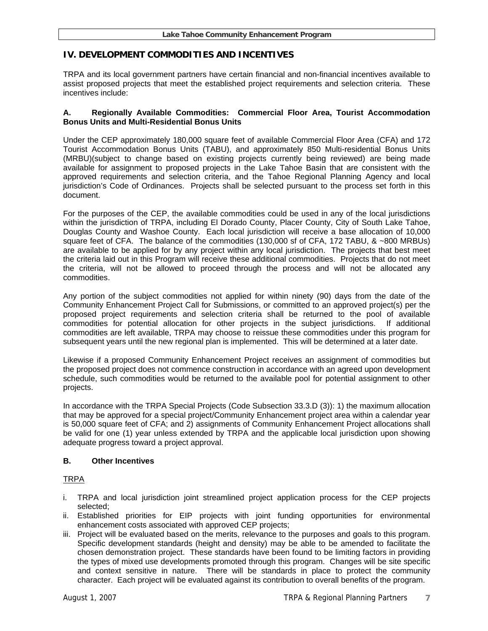# **IV. DEVELOPMENT COMMODITIES AND INCENTIVES**

TRPA and its local government partners have certain financial and non-financial incentives available to assist proposed projects that meet the established project requirements and selection criteria. These incentives include:

#### **A. Regionally Available Commodities: Commercial Floor Area, Tourist Accommodation Bonus Units and Multi-Residential Bonus Units**

Under the CEP approximately 180,000 square feet of available Commercial Floor Area (CFA) and 172 Tourist Accommodation Bonus Units (TABU), and approximately 850 Multi-residential Bonus Units (MRBU)(subject to change based on existing projects currently being reviewed) are being made available for assignment to proposed projects in the Lake Tahoe Basin that are consistent with the approved requirements and selection criteria, and the Tahoe Regional Planning Agency and local jurisdiction's Code of Ordinances. Projects shall be selected pursuant to the process set forth in this document.

For the purposes of the CEP, the available commodities could be used in any of the local jurisdictions within the jurisdiction of TRPA, including El Dorado County, Placer County, City of South Lake Tahoe, Douglas County and Washoe County. Each local jurisdiction will receive a base allocation of 10,000 square feet of CFA. The balance of the commodities (130,000 sf of CFA, 172 TABU, & ~800 MRBUs) are available to be applied for by any project within any local jurisdiction. The projects that best meet the criteria laid out in this Program will receive these additional commodities. Projects that do not meet the criteria, will not be allowed to proceed through the process and will not be allocated any commodities.

Any portion of the subject commodities not applied for within ninety (90) days from the date of the Community Enhancement Project Call for Submissions, or committed to an approved project(s) per the proposed project requirements and selection criteria shall be returned to the pool of available commodities for potential allocation for other projects in the subject jurisdictions. If additional commodities are left available, TRPA may choose to reissue these commodities under this program for subsequent years until the new regional plan is implemented. This will be determined at a later date.

Likewise if a proposed Community Enhancement Project receives an assignment of commodities but the proposed project does not commence construction in accordance with an agreed upon development schedule, such commodities would be returned to the available pool for potential assignment to other projects.

In accordance with the TRPA Special Projects (Code Subsection 33.3.D (3)): 1) the maximum allocation that may be approved for a special project/Community Enhancement project area within a calendar year is 50,000 square feet of CFA; and 2) assignments of Community Enhancement Project allocations shall be valid for one (1) year unless extended by TRPA and the applicable local jurisdiction upon showing adequate progress toward a project approval.

#### **B. Other Incentives**

# TRPA

- i. TRPA and local jurisdiction joint streamlined project application process for the CEP projects selected;
- ii. Established priorities for EIP projects with joint funding opportunities for environmental enhancement costs associated with approved CEP projects;
- iii. Project will be evaluated based on the merits, relevance to the purposes and goals to this program. Specific development standards (height and density) may be able to be amended to facilitate the chosen demonstration project. These standards have been found to be limiting factors in providing the types of mixed use developments promoted through this program. Changes will be site specific and context sensitive in nature. There will be standards in place to protect the community character. Each project will be evaluated against its contribution to overall benefits of the program.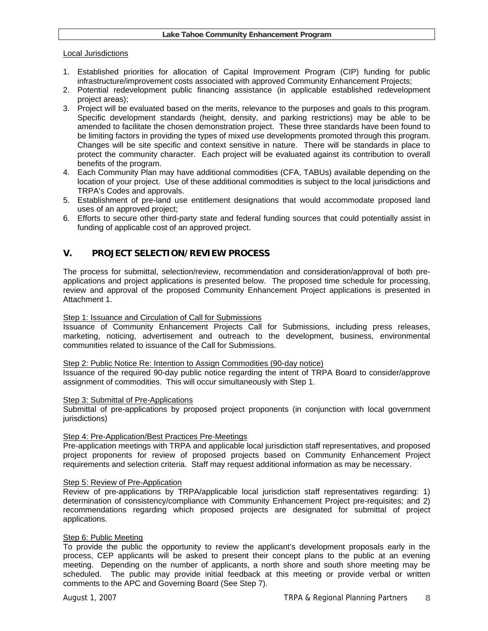#### Local Jurisdictions

- 1. Established priorities for allocation of Capital Improvement Program (CIP) funding for public infrastructure/improvement costs associated with approved Community Enhancement Projects;
- 2. Potential redevelopment public financing assistance (in applicable established redevelopment project areas);
- 3. Project will be evaluated based on the merits, relevance to the purposes and goals to this program. Specific development standards (height, density, and parking restrictions) may be able to be amended to facilitate the chosen demonstration project. These three standards have been found to be limiting factors in providing the types of mixed use developments promoted through this program. Changes will be site specific and context sensitive in nature. There will be standards in place to protect the community character. Each project will be evaluated against its contribution to overall benefits of the program.
- 4. Each Community Plan may have additional commodities (CFA, TABUs) available depending on the location of your project. Use of these additional commodities is subject to the local jurisdictions and TRPA's Codes and approvals.
- 5. Establishment of pre-land use entitlement designations that would accommodate proposed land uses of an approved project;
- 6. Efforts to secure other third-party state and federal funding sources that could potentially assist in funding of applicable cost of an approved project.

#### **V. PROJECT SELECTION/REVIEW PROCESS**

The process for submittal, selection/review, recommendation and consideration/approval of both preapplications and project applications is presented below. The proposed time schedule for processing, review and approval of the proposed Community Enhancement Project applications is presented in Attachment 1.

#### Step 1: Issuance and Circulation of Call for Submissions

Issuance of Community Enhancement Projects Call for Submissions, including press releases, marketing, noticing, advertisement and outreach to the development, business, environmental communities related to issuance of the Call for Submissions.

#### Step 2: Public Notice Re: Intention to Assign Commodities (90-day notice)

Issuance of the required 90-day public notice regarding the intent of TRPA Board to consider/approve assignment of commodities. This will occur simultaneously with Step 1.

#### Step 3: Submittal of Pre-Applications

Submittal of pre-applications by proposed project proponents (in conjunction with local government jurisdictions)

#### Step 4: Pre-Application/Best Practices Pre-Meetings

Pre-application meetings with TRPA and applicable local jurisdiction staff representatives, and proposed project proponents for review of proposed projects based on Community Enhancement Project requirements and selection criteria. Staff may request additional information as may be necessary.

#### Step 5: Review of Pre-Application

Review of pre-applications by TRPA/applicable local jurisdiction staff representatives regarding: 1) determination of consistency/compliance with Community Enhancement Project pre-requisites; and 2) recommendations regarding which proposed projects are designated for submittal of project applications.

#### Step 6: Public Meeting

To provide the public the opportunity to review the applicant's development proposals early in the process, CEP applicants will be asked to present their concept plans to the public at an evening meeting. Depending on the number of applicants, a north shore and south shore meeting may be scheduled. The public may provide initial feedback at this meeting or provide verbal or written comments to the APC and Governing Board (See Step 7).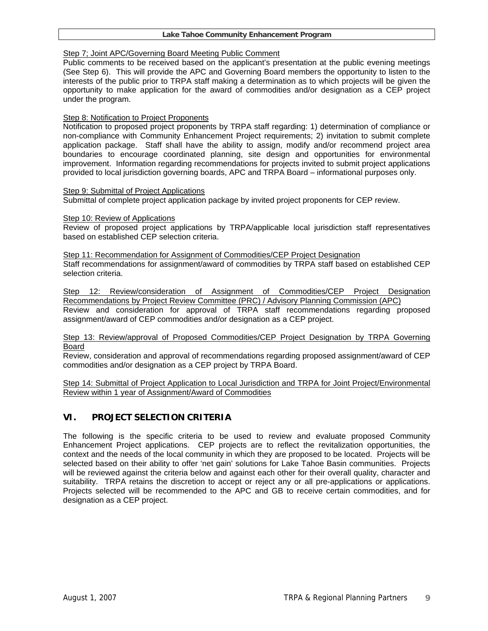#### Step 7; Joint APC/Governing Board Meeting Public Comment

Public comments to be received based on the applicant's presentation at the public evening meetings (See Step 6). This will provide the APC and Governing Board members the opportunity to listen to the interests of the public prior to TRPA staff making a determination as to which projects will be given the opportunity to make application for the award of commodities and/or designation as a CEP project under the program.

#### Step 8: Notification to Project Proponents

Notification to proposed project proponents by TRPA staff regarding: 1) determination of compliance or non-compliance with Community Enhancement Project requirements; 2) invitation to submit complete application package. Staff shall have the ability to assign, modify and/or recommend project area boundaries to encourage coordinated planning, site design and opportunities for environmental improvement. Information regarding recommendations for projects invited to submit project applications provided to local jurisdiction governing boards, APC and TRPA Board – informational purposes only.

Step 9: Submittal of Project Applications

Submittal of complete project application package by invited project proponents for CEP review.

#### Step 10: Review of Applications

Review of proposed project applications by TRPA/applicable local jurisdiction staff representatives based on established CEP selection criteria.

Step 11: Recommendation for Assignment of Commodities/CEP Project Designation Staff recommendations for assignment/award of commodities by TRPA staff based on established CEP selection criteria.

Step 12: Review/consideration of Assignment of Commodities/CEP Project Designation Recommendations by Project Review Committee (PRC) / Advisory Planning Commission (APC) Review and consideration for approval of TRPA staff recommendations regarding proposed assignment/award of CEP commodities and/or designation as a CEP project.

#### Step 13: Review/approval of Proposed Commodities/CEP Project Designation by TRPA Governing Board

Review, consideration and approval of recommendations regarding proposed assignment/award of CEP commodities and/or designation as a CEP project by TRPA Board.

Step 14: Submittal of Project Application to Local Jurisdiction and TRPA for Joint Project/Environmental Review within 1 year of Assignment/Award of Commodities

# **VI. PROJECT SELECTION CRITERIA**

The following is the specific criteria to be used to review and evaluate proposed Community Enhancement Project applications. CEP projects are to reflect the revitalization opportunities, the context and the needs of the local community in which they are proposed to be located. Projects will be selected based on their ability to offer 'net gain' solutions for Lake Tahoe Basin communities. Projects will be reviewed against the criteria below and against each other for their overall quality, character and suitability. TRPA retains the discretion to accept or reject any or all pre-applications or applications. Projects selected will be recommended to the APC and GB to receive certain commodities, and for designation as a CEP project.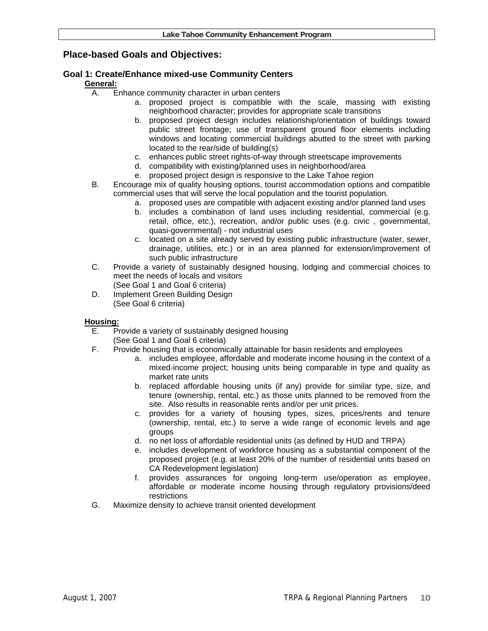# **Place-based Goals and Objectives:**

# **Goal 1: Create/Enhance mixed-use Community Centers**

#### **General:**

- A. Enhance community character in urban centers
	- a. proposed project is compatible with the scale, massing with existing neighborhood character; provides for appropriate scale transitions
	- b. proposed project design includes relationship/orientation of buildings toward public street frontage; use of transparent ground floor elements including windows and locating commercial buildings abutted to the street with parking located to the rear/side of building(s)
	- c. enhances public street rights-of-way through streetscape improvements
	- d. compatibility with existing/planned uses in neighborhood/area
	- e. proposed project design is responsive to the Lake Tahoe region
- B. Encourage mix of quality housing options, tourist accommodation options and compatible commercial uses that will serve the local population and the tourist population.
	- a. proposed uses are compatible with adjacent existing and/or planned land uses
	- b. includes a combination of land uses including residential, commercial (e.g. retail, office, etc.), recreation, and/or public uses (e.g. civic , governmental, quasi-governmental) - not industrial uses
	- c. located on a site already served by existing public infrastructure (water, sewer, drainage, utilities, etc.) or in an area planned for extension/improvement of such public infrastructure
- C. Provide a variety of sustainably designed housing, lodging and commercial choices to meet the needs of locals and visitors (See Goal 1 and Goal 6 criteria)
- D. Implement Green Building Design (See Goal 6 criteria)

#### **Housing:**

- E. Provide a variety of sustainably designed housing (See Goal 1 and Goal 6 criteria)
- F. Provide housing that is economically attainable for basin residents and employees
	- a. includes employee, affordable and moderate income housing in the context of a mixed-income project; housing units being comparable in type and quality as market rate units
	- b. replaced affordable housing units (if any) provide for similar type, size, and tenure (ownership, rental, etc.) as those units planned to be removed from the site. Also results in reasonable rents and/or per unit prices.
	- c. provides for a variety of housing types, sizes, prices/rents and tenure (ownership, rental, etc.) to serve a wide range of economic levels and age groups
	- d. no net loss of affordable residential units (as defined by HUD and TRPA)
	- e. includes development of workforce housing as a substantial component of the proposed project (e.g. at least 20% of the number of residential units based on CA Redevelopment legislation)
	- f. provides assurances for ongoing long-term use/operation as employee, affordable or moderate income housing through regulatory provisions/deed restrictions
- G. Maximize density to achieve transit oriented development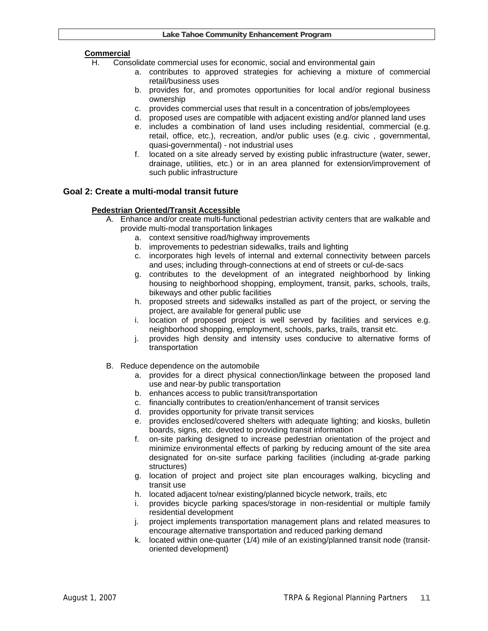#### **Commercial**

- H. Consolidate commercial uses for economic, social and environmental gain
	- a. contributes to approved strategies for achieving a mixture of commercial retail/business uses
	- b. provides for, and promotes opportunities for local and/or regional business ownership
	- c. provides commercial uses that result in a concentration of jobs/employees
	- d. proposed uses are compatible with adjacent existing and/or planned land uses
	- e. includes a combination of land uses including residential, commercial (e.g. retail, office, etc.), recreation, and/or public uses (e.g. civic , governmental, quasi-governmental) - not industrial uses
	- f. located on a site already served by existing public infrastructure (water, sewer, drainage, utilities, etc.) or in an area planned for extension/improvement of such public infrastructure

#### **Goal 2: Create a multi-modal transit future**

#### **Pedestrian Oriented/Transit Accessible**

- A. Enhance and/or create multi-functional pedestrian activity centers that are walkable and provide multi-modal transportation linkages
	- a. context sensitive road/highway improvements
	- b. improvements to pedestrian sidewalks, trails and lighting
	- c. incorporates high levels of internal and external connectivity between parcels and uses; including through-connections at end of streets or cul-de-sacs
	- g. contributes to the development of an integrated neighborhood by linking housing to neighborhood shopping, employment, transit, parks, schools, trails, bikeways and other public facilities
	- h. proposed streets and sidewalks installed as part of the project, or serving the project, are available for general public use
	- i. location of proposed project is well served by facilities and services e.g. neighborhood shopping, employment, schools, parks, trails, transit etc.
	- j. provides high density and intensity uses conducive to alternative forms of transportation
- B. Reduce dependence on the automobile
	- a. provides for a direct physical connection/linkage between the proposed land use and near-by public transportation
	- b. enhances access to public transit/transportation
	- c. financially contributes to creation/enhancement of transit services
	- d. provides opportunity for private transit services
	- e. provides enclosed/covered shelters with adequate lighting; and kiosks, bulletin boards, signs, etc. devoted to providing transit information
	- f. on-site parking designed to increase pedestrian orientation of the project and minimize environmental effects of parking by reducing amount of the site area designated for on-site surface parking facilities (including at-grade parking structures)
	- g. location of project and project site plan encourages walking, bicycling and transit use
	- h. located adjacent to/near existing/planned bicycle network, trails, etc
	- i. provides bicycle parking spaces/storage in non-residential or multiple family residential development
	- j. project implements transportation management plans and related measures to encourage alternative transportation and reduced parking demand
	- k. located within one-quarter (1/4) mile of an existing/planned transit node (transitoriented development)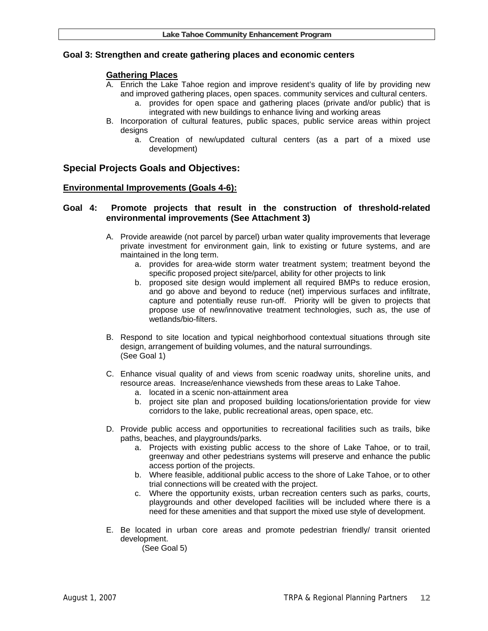#### **Goal 3: Strengthen and create gathering places and economic centers**

#### **Gathering Places**

- A. Enrich the Lake Tahoe region and improve resident's quality of life by providing new and improved gathering places, open spaces. community services and cultural centers.
	- a. provides for open space and gathering places (private and/or public) that is integrated with new buildings to enhance living and working areas
- B. Incorporation of cultural features, public spaces, public service areas within project desians
	- a. Creation of new/updated cultural centers (as a part of a mixed use development)

# **Special Projects Goals and Objectives:**

#### **Environmental Improvements (Goals 4-6):**

#### **Goal 4: Promote projects that result in the construction of threshold-related environmental improvements (See Attachment 3)**

- A. Provide areawide (not parcel by parcel) urban water quality improvements that leverage private investment for environment gain, link to existing or future systems, and are maintained in the long term.
	- a. provides for area-wide storm water treatment system; treatment beyond the specific proposed project site/parcel, ability for other projects to link
	- b. proposed site design would implement all required BMPs to reduce erosion, and go above and beyond to reduce (net) impervious surfaces and infiltrate, capture and potentially reuse run-off. Priority will be given to projects that propose use of new/innovative treatment technologies, such as, the use of wetlands/bio-filters.
- B. Respond to site location and typical neighborhood contextual situations through site design, arrangement of building volumes, and the natural surroundings. (See Goal 1)
- C. Enhance visual quality of and views from scenic roadway units, shoreline units, and resource areas. Increase/enhance viewsheds from these areas to Lake Tahoe.
	- a. located in a scenic non-attainment area
	- b. project site plan and proposed building locations/orientation provide for view corridors to the lake, public recreational areas, open space, etc.
- D. Provide public access and opportunities to recreational facilities such as trails, bike paths, beaches, and playgrounds/parks.
	- a. Projects with existing public access to the shore of Lake Tahoe, or to trail, greenway and other pedestrians systems will preserve and enhance the public access portion of the projects.
	- b. Where feasible, additional public access to the shore of Lake Tahoe, or to other trial connections will be created with the project.
	- c. Where the opportunity exists, urban recreation centers such as parks, courts, playgrounds and other developed facilities will be included where there is a need for these amenities and that support the mixed use style of development.
- E. Be located in urban core areas and promote pedestrian friendly/ transit oriented development.

(See Goal 5)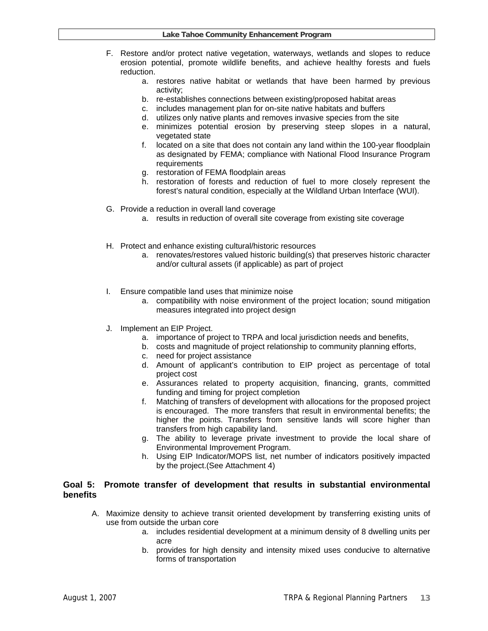- F. Restore and/or protect native vegetation, waterways, wetlands and slopes to reduce erosion potential, promote wildlife benefits, and achieve healthy forests and fuels reduction.
	- a. restores native habitat or wetlands that have been harmed by previous activity;
	- b. re-establishes connections between existing/proposed habitat areas
	- c. includes management plan for on-site native habitats and buffers
	- d. utilizes only native plants and removes invasive species from the site
	- e. minimizes potential erosion by preserving steep slopes in a natural, vegetated state
	- f. located on a site that does not contain any land within the 100-year floodplain as designated by FEMA; compliance with National Flood Insurance Program **requirements**
	- g. restoration of FEMA floodplain areas
	- h. restoration of forests and reduction of fuel to more closely represent the forest's natural condition, especially at the Wildland Urban Interface (WUI).
- G. Provide a reduction in overall land coverage
	- a. results in reduction of overall site coverage from existing site coverage
- H. Protect and enhance existing cultural/historic resources
	- a. renovates/restores valued historic building(s) that preserves historic character and/or cultural assets (if applicable) as part of project
- I. Ensure compatible land uses that minimize noise
	- a. compatibility with noise environment of the project location; sound mitigation measures integrated into project design
- J. Implement an EIP Project.
	- a. importance of project to TRPA and local jurisdiction needs and benefits,
	- b. costs and magnitude of project relationship to community planning efforts,
	- c. need for project assistance
	- d. Amount of applicant's contribution to EIP project as percentage of total project cost
	- e. Assurances related to property acquisition, financing, grants, committed funding and timing for project completion
	- f. Matching of transfers of development with allocations for the proposed project is encouraged. The more transfers that result in environmental benefits; the higher the points. Transfers from sensitive lands will score higher than transfers from high capability land.
	- g. The ability to leverage private investment to provide the local share of Environmental Improvement Program.
	- h. Using EIP Indicator/MOPS list, net number of indicators positively impacted by the project.(See Attachment 4)

#### **Goal 5: Promote transfer of development that results in substantial environmental benefits**

- A. Maximize density to achieve transit oriented development by transferring existing units of use from outside the urban core
	- a. includes residential development at a minimum density of 8 dwelling units per acre
	- b. provides for high density and intensity mixed uses conducive to alternative forms of transportation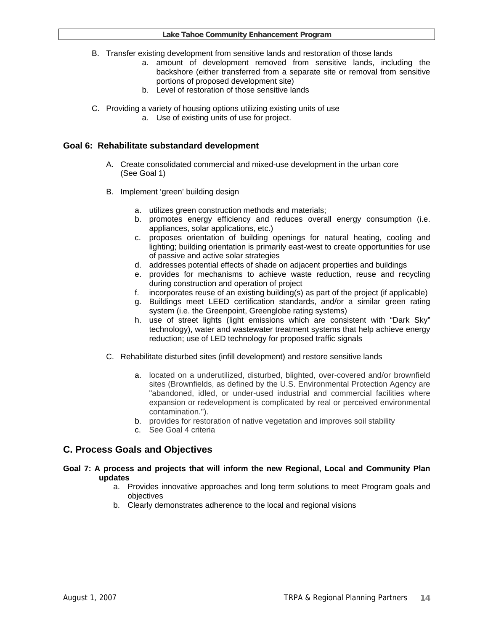- B. Transfer existing development from sensitive lands and restoration of those lands
	- a. amount of development removed from sensitive lands, including the backshore (either transferred from a separate site or removal from sensitive portions of proposed development site)
	- b. Level of restoration of those sensitive lands
- C. Providing a variety of housing options utilizing existing units of use
	- a. Use of existing units of use for project.

# **Goal 6: Rehabilitate substandard development**

- A. Create consolidated commercial and mixed-use development in the urban core (See Goal 1)
- B. Implement 'green' building design
	- a. utilizes green construction methods and materials;
	- b. promotes energy efficiency and reduces overall energy consumption (i.e. appliances, solar applications, etc.)
	- c. proposes orientation of building openings for natural heating, cooling and lighting; building orientation is primarily east-west to create opportunities for use of passive and active solar strategies
	- d. addresses potential effects of shade on adjacent properties and buildings
	- e. provides for mechanisms to achieve waste reduction, reuse and recycling during construction and operation of project
	- f. incorporates reuse of an existing building(s) as part of the project (if applicable)
	- g. Buildings meet LEED certification standards, and/or a similar green rating system (i.e. the Greenpoint, Greenglobe rating systems)
	- h. use of street lights (light emissions which are consistent with "Dark Sky" technology), water and wastewater treatment systems that help achieve energy reduction; use of LED technology for proposed traffic signals
- C. Rehabilitate disturbed sites (infill development) and restore sensitive lands
	- a. located on a underutilized, disturbed, blighted, over-covered and/or brownfield sites (Brownfields, as defined by the U.S. Environmental Protection Agency are "abandoned, idled, or under-used industrial and commercial facilities where expansion or redevelopment is complicated by real or perceived environmental contamination.").
	- b. provides for restoration of native vegetation and improves soil stability
	- c. See Goal 4 criteria

# **C. Process Goals and Objectives**

#### **Goal 7: A process and projects that will inform the new Regional, Local and Community Plan updates**

- a. Provides innovative approaches and long term solutions to meet Program goals and objectives
- b. Clearly demonstrates adherence to the local and regional visions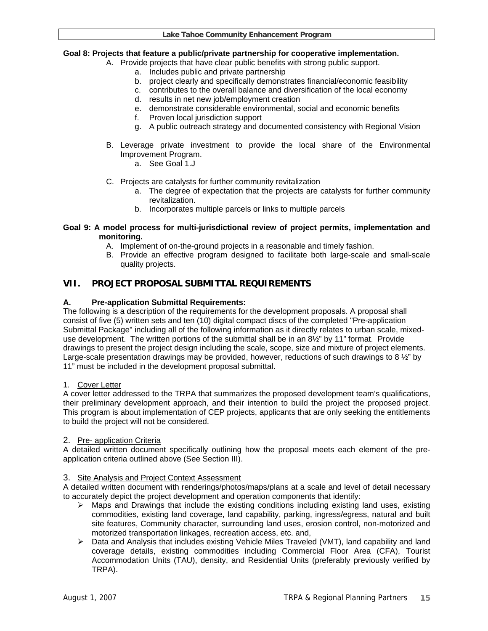#### **Goal 8: Projects that feature a public/private partnership for cooperative implementation.**

- A. Provide projects that have clear public benefits with strong public support.
	- a. Includes public and private partnership
	- b. project clearly and specifically demonstrates financial/economic feasibility
	- c. contributes to the overall balance and diversification of the local economy
		- d. results in net new job/employment creation
		- e. demonstrate considerable environmental, social and economic benefits
		- f. Proven local jurisdiction support
		- g. A public outreach strategy and documented consistency with Regional Vision
- B. Leverage private investment to provide the local share of the Environmental Improvement Program.
	- a. See Goal 1.J
- C. Projects are catalysts for further community revitalization
	- a. The degree of expectation that the projects are catalysts for further community revitalization.
	- b. Incorporates multiple parcels or links to multiple parcels

#### **Goal 9: A model process for multi-jurisdictional review of project permits, implementation and monitoring.**

- A. Implement of on-the-ground projects in a reasonable and timely fashion.
- B. Provide an effective program designed to facilitate both large-scale and small-scale quality projects.

# **VII. PROJECT PROPOSAL SUBMITTAL REQUIREMENTS**

#### **A. Pre-application Submittal Requirements:**

The following is a description of the requirements for the development proposals. A proposal shall consist of five (5) written sets and ten (10) digital compact discs of the completed "Pre-application Submittal Package" including all of the following information as it directly relates to urban scale, mixeduse development. The written portions of the submittal shall be in an 8½" by 11" format. Provide drawings to present the project design including the scale, scope, size and mixture of project elements. Large-scale presentation drawings may be provided, however, reductions of such drawings to 8 ½" by 11" must be included in the development proposal submittal.

#### 1. Cover Letter

A cover letter addressed to the TRPA that summarizes the proposed development team's qualifications, their preliminary development approach, and their intention to build the project the proposed project. This program is about implementation of CEP projects, applicants that are only seeking the entitlements to build the project will not be considered.

#### 2. Pre- application Criteria

A detailed written document specifically outlining how the proposal meets each element of the preapplication criteria outlined above (See Section III).

#### 3. Site Analysis and Project Context Assessment

A detailed written document with renderings/photos/maps/plans at a scale and level of detail necessary to accurately depict the project development and operation components that identify:

- $\triangleright$  Maps and Drawings that include the existing conditions including existing land uses, existing commodities, existing land coverage, land capability, parking, ingress/egress, natural and built site features, Community character, surrounding land uses, erosion control, non-motorized and motorized transportation linkages, recreation access, etc. and,
- $\triangleright$  Data and Analysis that includes existing Vehicle Miles Traveled (VMT), land capability and land coverage details, existing commodities including Commercial Floor Area (CFA), Tourist Accommodation Units (TAU), density, and Residential Units (preferably previously verified by TRPA).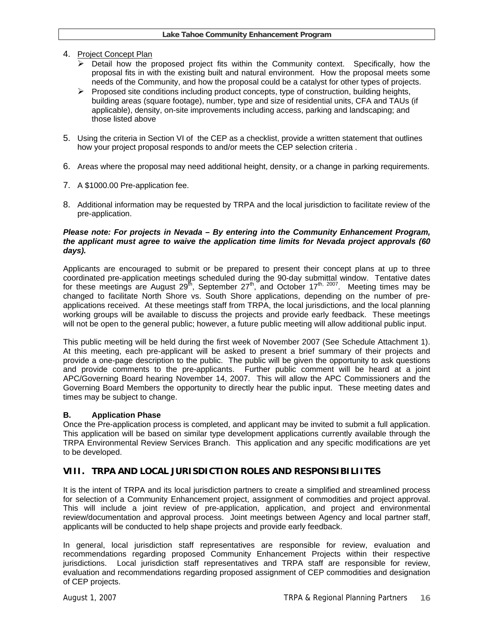- 4. Project Concept Plan
	- $\triangleright$  Detail how the proposed project fits within the Community context. Specifically, how the proposal fits in with the existing built and natural environment. How the proposal meets some needs of the Community, and how the proposal could be a catalyst for other types of projects.
	- $\triangleright$  Proposed site conditions including product concepts, type of construction, building heights, building areas (square footage), number, type and size of residential units, CFA and TAUs (if applicable), density, on-site improvements including access, parking and landscaping; and those listed above
- 5. Using the criteria in Section VI of the CEP as a checklist, provide a written statement that outlines how your project proposal responds to and/or meets the CEP selection criteria .
- 6. Areas where the proposal may need additional height, density, or a change in parking requirements.
- 7. A \$1000.00 Pre-application fee.
- 8. Additional information may be requested by TRPA and the local jurisdiction to facilitate review of the pre-application.

#### *Please note: For projects in Nevada – By entering into the Community Enhancement Program, the applicant must agree to waive the application time limits for Nevada project approvals (60 days).*

Applicants are encouraged to submit or be prepared to present their concept plans at up to three coordinated pre-application meetings scheduled during the 90-day submittal window. Tentative dates for these meetings are August  $29^{th}$ , September  $27^{th}$ , and October  $17^{th}$ ,  $2007$ . Meeting times may be changed to facilitate North Shore vs. South Shore applications, depending on the number of preapplications received. At these meetings staff from TRPA, the local jurisdictions, and the local planning working groups will be available to discuss the projects and provide early feedback. These meetings will not be open to the general public; however, a future public meeting will allow additional public input.

This public meeting will be held during the first week of November 2007 (See Schedule Attachment 1). At this meeting, each pre-applicant will be asked to present a brief summary of their projects and provide a one-page description to the public. The public will be given the opportunity to ask questions and provide comments to the pre-applicants. Further public comment will be heard at a joint APC/Governing Board hearing November 14, 2007. This will allow the APC Commissioners and the Governing Board Members the opportunity to directly hear the public input. These meeting dates and times may be subject to change.

# **B. Application Phase**

Once the Pre-application process is completed, and applicant may be invited to submit a full application. This application will be based on similar type development applications currently available through the TRPA Environmental Review Services Branch. This application and any specific modifications are yet to be developed.

# **VIII. TRPA AND LOCAL JURISDICTION ROLES AND RESPONSIBILIITES**

It is the intent of TRPA and its local jurisdiction partners to create a simplified and streamlined process for selection of a Community Enhancement project, assignment of commodities and project approval. This will include a joint review of pre-application, application, and project and environmental review/documentation and approval process. Joint meetings between Agency and local partner staff, applicants will be conducted to help shape projects and provide early feedback.

In general, local jurisdiction staff representatives are responsible for review, evaluation and recommendations regarding proposed Community Enhancement Projects within their respective jurisdictions. Local jurisdiction staff representatives and TRPA staff are responsible for review, evaluation and recommendations regarding proposed assignment of CEP commodities and designation of CEP projects.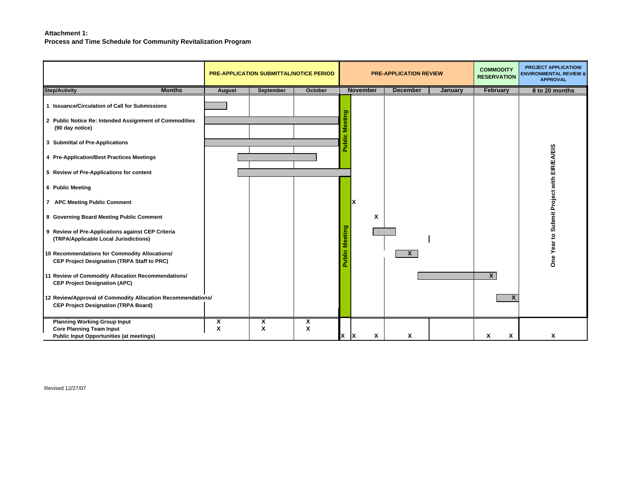#### **Attachment 1:**

**Process and Time Schedule for Community Revitalization Program** 

|                                                                                                                                                                                                                                                                                                                                                                                                                                                                                                                                                                                                                                                            |               | <b>PRE-APPLICATION SUBMITTAL/NOTICE PERIOD</b> |         |       | <b>PRE-APPLICATION REVIEW</b> |                 | <b>COMMODITY</b><br><b>RESERVATION</b> | <b>PROJECT APPLICATION/</b><br><b>ENVIRONMENTAL REVIEW &amp;</b><br><b>APPROVAL</b> |                                            |
|------------------------------------------------------------------------------------------------------------------------------------------------------------------------------------------------------------------------------------------------------------------------------------------------------------------------------------------------------------------------------------------------------------------------------------------------------------------------------------------------------------------------------------------------------------------------------------------------------------------------------------------------------------|---------------|------------------------------------------------|---------|-------|-------------------------------|-----------------|----------------------------------------|-------------------------------------------------------------------------------------|--------------------------------------------|
| <b>Step/Activity</b><br><b>Months</b>                                                                                                                                                                                                                                                                                                                                                                                                                                                                                                                                                                                                                      | <b>August</b> | September                                      | October |       | <b>November</b>               | <b>December</b> | January                                | <b>February</b>                                                                     | 8 to 20 months                             |
| 1 Issuance/Circulation of Call for Submissions<br>2 Public Notice Re: Intended Assignment of Commodities<br>(90 day notice)<br>3 Submittal of Pre-Applications<br>4 Pre-Application/Best Practices Meetings<br>5 Review of Pre-Applications for content<br>6 Public Meeting<br>7 APC Meeting Public Comment<br>8 Governing Board Meeting Public Comment<br>9 Review of Pre-Applications against CEP Criteria<br>(TRPA/Applicable Local Jurisdictions)<br>10 Recommendations for Commodity Allocations/<br><b>CEP Project Designation (TRPA Staff to PRC)</b><br>11 Review of Commodity Allocation Recommendations/<br><b>CEP Project Designation (APC)</b> |               |                                                |         | eting | X<br>X                        | $\mathsf{x}$    |                                        | $\mathsf{x}$                                                                        | One Year to Submit Project with EIR/EA/EIS |
| 12 Review/Approval of Commodity Allocation Recommendations/<br><b>CEP Project Designation (TRPA Board)</b>                                                                                                                                                                                                                                                                                                                                                                                                                                                                                                                                                 |               |                                                |         |       |                               |                 |                                        | X                                                                                   |                                            |
| <b>Planning Working Group Input</b><br><b>Core Planning Team Input</b><br><b>Public Input Opportunities (at meetings)</b>                                                                                                                                                                                                                                                                                                                                                                                                                                                                                                                                  | χ<br>X        | X<br>X                                         | X<br>X  | IX.   | X<br>χ                        | X               |                                        | X<br>X                                                                              | X                                          |

Revised 12/27/07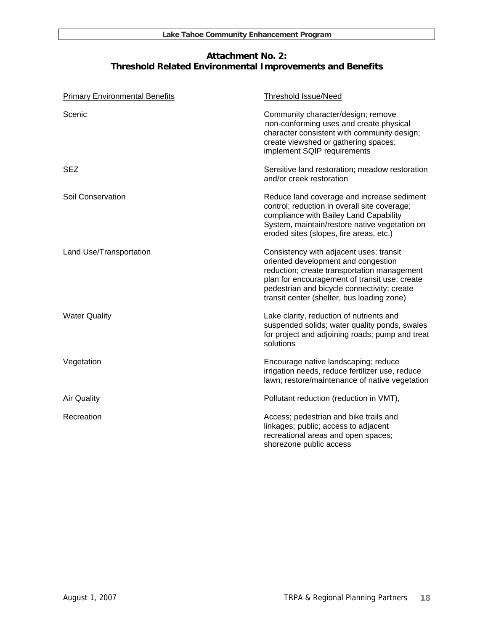# **Attachment No. 2: Threshold Related Environmental Improvements and Benefits**

| <b>Primary Environmental Benefits</b> | <b>Threshold Issue/Need</b>                                                                                                                                                                                                                                                 |
|---------------------------------------|-----------------------------------------------------------------------------------------------------------------------------------------------------------------------------------------------------------------------------------------------------------------------------|
| Scenic                                | Community character/design; remove<br>non-conforming uses and create physical<br>character consistent with community design;<br>create viewshed or gathering spaces;<br>implement SQIP requirements                                                                         |
| <b>SEZ</b>                            | Sensitive land restoration; meadow restoration<br>and/or creek restoration                                                                                                                                                                                                  |
| Soil Conservation                     | Reduce land coverage and increase sediment<br>control; reduction in overall site coverage;<br>compliance with Bailey Land Capability<br>System, maintain/restore native vegetation on<br>eroded sites (slopes, fire areas, etc.)                                            |
| Land Use/Transportation               | Consistency with adjacent uses; transit<br>oriented development and congestion<br>reduction; create transportation management<br>plan for encouragement of transit use; create<br>pedestrian and bicycle connectivity; create<br>transit center (shelter, bus loading zone) |
| <b>Water Quality</b>                  | Lake clarity, reduction of nutrients and<br>suspended solids; water quality ponds, swales<br>for project and adjoining roads; pump and treat<br>solutions                                                                                                                   |
| Vegetation                            | Encourage native landscaping; reduce<br>irrigation needs, reduce fertilizer use, reduce<br>lawn; restore/maintenance of native vegetation                                                                                                                                   |
| <b>Air Quality</b>                    | Pollutant reduction (reduction in VMT),                                                                                                                                                                                                                                     |
| Recreation                            | Access; pedestrian and bike trails and<br>linkages; public; access to adjacent<br>recreational areas and open spaces;<br>shorezone public access                                                                                                                            |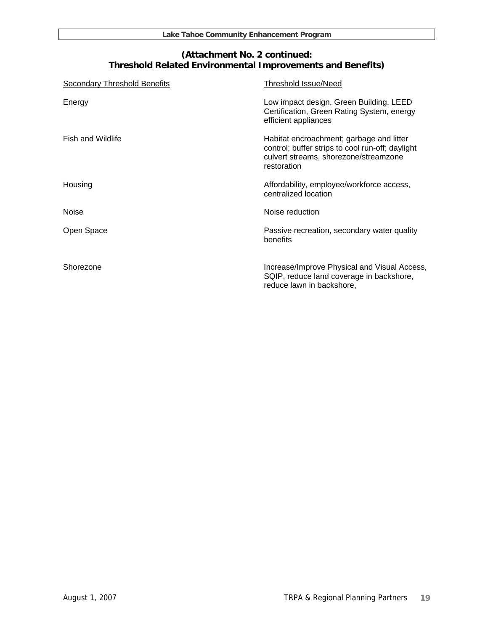# **(Attachment No. 2 continued: Threshold Related Environmental Improvements and Benefits)**

| <b>Secondary Threshold Benefits</b> | <b>Threshold Issue/Need</b>                                                                                                                          |
|-------------------------------------|------------------------------------------------------------------------------------------------------------------------------------------------------|
| Energy                              | Low impact design, Green Building, LEED<br>Certification, Green Rating System, energy<br>efficient appliances                                        |
| <b>Fish and Wildlife</b>            | Habitat encroachment; garbage and litter<br>control; buffer strips to cool run-off; daylight<br>culvert streams, shorezone/streamzone<br>restoration |
| Housing                             | Affordability, employee/workforce access,<br>centralized location                                                                                    |
| <b>Noise</b>                        | Noise reduction                                                                                                                                      |
| Open Space                          | Passive recreation, secondary water quality<br>benefits                                                                                              |
| Shorezone                           | Increase/Improve Physical and Visual Access,<br>SQIP, reduce land coverage in backshore,<br>reduce lawn in backshore,                                |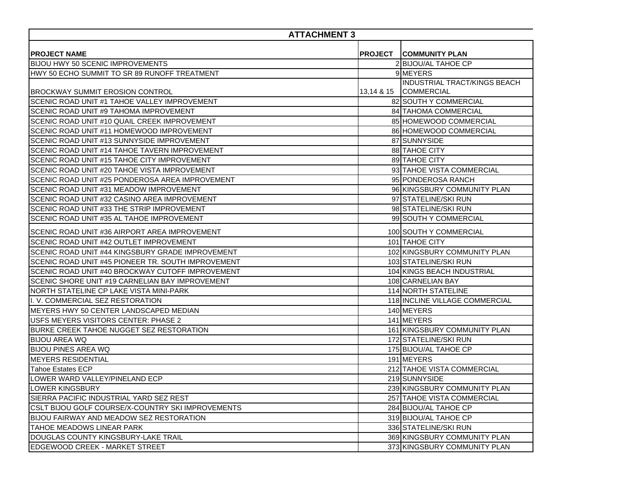| <b>ATTACHMENT 3</b>                                |  |                                                       |  |
|----------------------------------------------------|--|-------------------------------------------------------|--|
| <b>IPROJECT NAME</b>                               |  | <b>PROJECT COMMUNITY PLAN</b>                         |  |
| <b>BIJOU HWY 50 SCENIC IMPROVEMENTS</b>            |  | 2 BIJOU/AL TAHOE CP                                   |  |
| HWY 50 ECHO SUMMIT TO SR 89 RUNOFF TREATMENT       |  | 9 MEYERS                                              |  |
| IBROCKWAY SUMMIT EROSION CONTROL                   |  | INDUSTRIAL TRACT/KINGS BEACH<br>13,14 & 15 COMMERCIAL |  |
| SCENIC ROAD UNIT #1 TAHOE VALLEY IMPROVEMENT       |  | 82 SOUTH Y COMMERCIAL                                 |  |
| SCENIC ROAD UNIT #9 TAHOMA IMPROVEMENT             |  | <b>84 TAHOMA COMMERCIAL</b>                           |  |
| SCENIC ROAD UNIT #10 QUAIL CREEK IMPROVEMENT       |  | 85 HOMEWOOD COMMERCIAL                                |  |
| SCENIC ROAD UNIT #11 HOMEWOOD IMPROVEMENT          |  | 86 HOMEWOOD COMMERCIAL                                |  |
| SCENIC ROAD UNIT #13 SUNNYSIDE IMPROVEMENT         |  | 87 SUNNYSIDE                                          |  |
| SCENIC ROAD UNIT #14 TAHOE TAVERN IMPROVEMENT      |  | 88 TAHOE CITY                                         |  |
| SCENIC ROAD UNIT #15 TAHOE CITY IMPROVEMENT        |  | 89 TAHOE CITY                                         |  |
| SCENIC ROAD UNIT #20 TAHOE VISTA IMPROVEMENT       |  | 93 TAHOE VISTA COMMERCIAL                             |  |
| SCENIC ROAD UNIT #25 PONDEROSA AREA IMPROVEMENT    |  | 95 PONDEROSA RANCH                                    |  |
| SCENIC ROAD UNIT #31 MEADOW IMPROVEMENT            |  | 96 KINGSBURY COMMUNITY PLAN                           |  |
| SCENIC ROAD UNIT #32 CASINO AREA IMPROVEMENT       |  | 97 STATELINE/SKI RUN                                  |  |
| SCENIC ROAD UNIT #33 THE STRIP IMPROVEMENT         |  | 98 STATELINE/SKI RUN                                  |  |
| SCENIC ROAD UNIT #35 AL TAHOE IMPROVEMENT          |  | 99 SOUTH Y COMMERCIAL                                 |  |
| ISCENIC ROAD UNIT #36 AIRPORT AREA IMPROVEMENT     |  | 100 SOUTH Y COMMERCIAL                                |  |
| SCENIC ROAD UNIT #42 OUTLET IMPROVEMENT            |  | 101 TAHOE CITY                                        |  |
| ISCENIC ROAD UNIT #44 KINGSBURY GRADE IMPROVEMENT  |  | 102 KINGSBURY COMMUNITY PLAN                          |  |
| SCENIC ROAD UNIT #45 PIONEER TR. SOUTH IMPROVEMENT |  | 103 STATELINE/SKI RUN                                 |  |
| SCENIC ROAD UNIT #40 BROCKWAY CUTOFF IMPROVEMENT   |  | 104 KINGS BEACH INDUSTRIAL                            |  |
| SCENIC SHORE UNIT #19 CARNELIAN BAY IMPROVEMENT    |  | 108 CARNELIAN BAY                                     |  |
| INORTH STATELINE CP LAKE VISTA MINI-PARK           |  | <b>114 NORTH STATELINE</b>                            |  |
| II. V. COMMERCIAL SEZ RESTORATION                  |  | 118 INCLINE VILLAGE COMMERCIAL                        |  |
| IMEYERS HWY 50 CENTER LANDSCAPED MEDIAN            |  | 140 MEYERS                                            |  |
| USFS MEYERS VISITORS CENTER: PHASE 2               |  | 141 MEYERS                                            |  |
| BURKE CREEK TAHOE NUGGET SEZ RESTORATION           |  | 161 KINGSBURY COMMUNITY PLAN                          |  |
| <b>BIJOU AREA WQ</b>                               |  | 172 STATELINE/SKI RUN                                 |  |
| <b>BIJOU PINES AREA WQ</b>                         |  | 175 BIJOU/AL TAHOE CP                                 |  |
| <b>MEYERS RESIDENTIAL</b>                          |  | 191 MEYERS                                            |  |
| <b>Tahoe Estates ECP</b>                           |  | 212 TAHOE VISTA COMMERCIAL                            |  |
| LOWER WARD VALLEY/PINELAND ECP                     |  | 219 SUNNYSIDE                                         |  |
| LOWER KINGSBURY                                    |  | 239 KINGSBURY COMMUNITY PLAN                          |  |
| ISIERRA PACIFIC INDUSTRIAL YARD SEZ REST           |  | 257 TAHOE VISTA COMMERCIAL                            |  |
| ICSLT BIJOU GOLF COURSE/X-COUNTRY SKI IMPROVEMENTS |  | 284 BIJOU/AL TAHOE CP                                 |  |
| <b>BIJOU FAIRWAY AND MEADOW SEZ RESTORATION</b>    |  | 319 BIJOU/AL TAHOE CP                                 |  |
| TAHOE MEADOWS LINEAR PARK                          |  | 336 STATELINE/SKI RUN                                 |  |
| IDOUGLAS COUNTY KINGSBURY-LAKE TRAIL               |  | 369 KINGSBURY COMMUNITY PLAN                          |  |
| <b>IEDGEWOOD CREEK - MARKET STREET</b>             |  | 373 KINGSBURY COMMUNITY PLAN                          |  |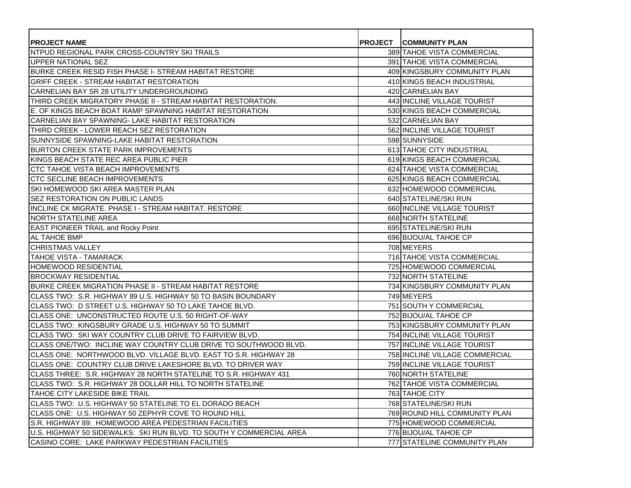| <b>PROJECT NAME</b>                                                  | <b>PROJECT COMMUNITY PLAN</b>  |
|----------------------------------------------------------------------|--------------------------------|
| NTPUD REGIONAL PARK CROSS-COUNTRY SKI TRAILS                         | 389 TAHOE VISTA COMMERCIAL     |
| UPPER NATIONAL SEZ                                                   | 391 TAHOE VISTA COMMERCIAL     |
| BURKE CREEK RESID FISH PHASE I- STREAM HABITAT RESTORE               | 409 KINGSBURY COMMUNITY PLAN   |
| <b>GRIFF CREEK - STREAM HABITAT RESTORATION</b>                      | 410 KINGS BEACH INDUSTRIAL     |
| CARNELIAN BAY SR 28 UTILITY UNDERGROUNDING                           | 420 CARNELIAN BAY              |
| THIRD CREEK MIGRATORY PHASE II - STREAM HABITAT RESTORATION.         | 443 INCLINE VILLAGE TOURIST    |
| E. OF KINGS BEACH BOAT RAMP SPAWNING HABITAT RESTORATION             | 530 KINGS BEACH COMMERCIAL     |
| CARNELIAN BAY SPAWNING- LAKE HABITAT RESTORATION                     | 532 CARNELIAN BAY              |
| THIRD CREEK - LOWER REACH SEZ RESTORATION                            | 562 INCLINE VILLAGE TOURIST    |
| SUNNYSIDE SPAWNING-LAKE HABITAT RESTORATION                          | 598 SUNNYSIDE                  |
| BURTON CREEK STATE PARK IMPROVEMENTS                                 | 613 TAHOE CITY INDUSTRIAL      |
| KINGS BEACH STATE REC AREA PUBLIC PIER                               | 619 KINGS BEACH COMMERCIAL     |
| ICTC TAHOE VISTA BEACH IMPROVEMENTS                                  | 624 TAHOE VISTA COMMERCIAL     |
| ICTC SECLINE BEACH IMPROVEMENTS                                      | 625 KINGS BEACH COMMERCIAL     |
| ISKI HOMEWOOD SKI AREA MASTER PLAN                                   | 632 HOMEWOOD COMMERCIAL        |
| <b>ISEZ RESTORATION ON PUBLIC LANDS</b>                              | 640 STATELINE/SKI RUN          |
| IINCLINE CK MIGRATE. PHASE I - STREAM HABITAT. RESTORE               | 660 INCLINE VILLAGE TOURIST    |
| NORTH STATELINE AREA                                                 | 668 NORTH STATELINE            |
| <b>EAST PIONEER TRAIL and Rocky Point</b>                            | 695 STATELINE/SKI RUN          |
| <b>AL TAHOE BMP</b>                                                  | 696 BIJOU/AL TAHOE CP          |
| <b>CHRISTMAS VALLEY</b>                                              | 708 MEYERS                     |
| <b>TAHOE VISTA - TAMARACK</b>                                        | 716 TAHOE VISTA COMMERCIAL     |
| <b>HOMEWOOD RESIDENTIAL</b>                                          | 725 HOMEWOOD COMMERCIAL        |
| BROCKWAY RESIDENTIAL                                                 | 732 NORTH STATELINE            |
| BURKE CREEK MIGRATION PHASE II - STREAM HABITAT RESTORE              | 734 KINGSBURY COMMUNITY PLAN   |
| ICLASS TWO:  S.R. HIGHWAY 89 U.S. HIGHWAY 50 TO BASIN BOUNDARY       | 749 MEYERS                     |
| CLASS TWO: D STREET U.S. HIGHWAY 50 TO LAKE TAHOE BLVD.              | 751 SOUTH Y COMMERCIAL         |
| <b>ICLASS ONE: UNCONSTRUCTED ROUTE U.S. 50 RIGHT-OF-WAY</b>          | 752 BIJOU/AL TAHOE CP          |
| ICLASS TWO: KINGSBURY GRADE U.S. HIGHWAY 50 TO SUMMIT                | 753 KINGSBURY COMMUNITY PLAN   |
| <b>I</b> CLASS TWO: SKI WAY COUNTRY CLUB DRIVE TO FAIRVIEW BLVD.     | 754 INCLINE VILLAGE TOURIST    |
| ICLASS ONE/TWO: INCLINE WAY COUNTRY CLUB DRIVE TO SOUTHWOOD BLVD.    | 757 INCLINE VILLAGE TOURIST    |
| CLASS ONE: NORTHWOOD BLVD. VILLAGE BLVD. EAST TO S.R. HIGHWAY 28     | 758 INCLINE VILLAGE COMMERCIAL |
| <b>I</b> CLASS ONE: COUNTRY CLUB DRIVE LAKESHORE BLVD. TO DRIVER WAY | 759 INCLINE VILLAGE TOURIST    |
| CLASS THREE: S.R. HIGHWAY 28 NORTH STATELINE TO S.R. HIGHWAY 431     | 760 NORTH STATELINE            |
| CLASS TWO: S.R. HIGHWAY 28 DOLLAR HILL TO NORTH STATELINE            | 762 TAHOE VISTA COMMERCIAL     |
| <b>TAHOE CITY LAKESIDE BIKE TRAIL</b>                                | 763 TAHOE CITY                 |
| CLASS TWO: U.S. HIGHWAY 50 STATELINE TO EL DORADO BEACH              | 768 STATELINE/SKI RUN          |
| ICLASS ONE:  U.S. HIGHWAY 50 ZEPHYR COVE TO ROUND HILL               | 769 ROUND HILL COMMUNITY PLAN  |
| S.R. HIGHWAY 89: HOMEWOOD AREA PEDESTRIAN FACILITIES                 | 775 HOMEWOOD COMMERCIAL        |
| U.S. HIGHWAY 50 SIDEWALKS: SKI RUN BLVD. TO SOUTH Y COMMERCIAL AREA  | 776 BIJOU/AL TAHOE CP          |
| CASINO CORE: LAKE PARKWAY PEDESTRIAN FACILITIES                      | 777 STATELINE COMMUNITY PLAN   |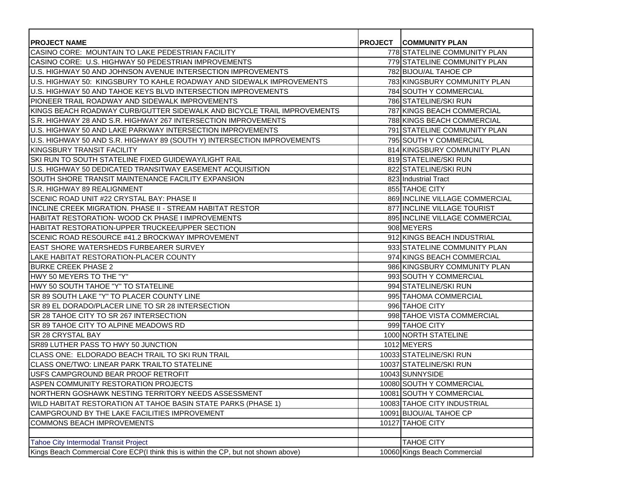| <b>IPROJECT NAME</b><br>ICASINO CORE: MOUNTAIN TO LAKE PEDESTRIAN FACILITY          | <b>PROJECT COMMUNITY PLAN</b><br>778 STATELINE COMMUNITY PLAN |
|-------------------------------------------------------------------------------------|---------------------------------------------------------------|
| ICASINO CORE: U.S. HIGHWAY 50 PEDESTRIAN IMPROVEMENTS                               | 779 STATELINE COMMUNITY PLAN                                  |
| IU.S. HIGHWAY 50 AND JOHNSON AVENUE INTERSECTION IMPROVEMENTS                       | 782 BIJOU/AL TAHOE CP                                         |
| U.S. HIGHWAY 50: KINGSBURY TO KAHLE ROADWAY AND SIDEWALK IMPROVEMENTS               | 783 KINGSBURY COMMUNITY PLAN                                  |
| U.S. HIGHWAY 50 AND TAHOE KEYS BLVD INTERSECTION IMPROVEMENTS                       | 784 SOUTH Y COMMERCIAL                                        |
| PIONEER TRAIL ROADWAY AND SIDEWALK IMPROVEMENTS                                     | 786 STATELINE/SKI RUN                                         |
| IKINGS BEACH ROADWAY CURB/GUTTER SIDEWALK AND BICYCLE TRAIL IMPROVEMENTS            | 787 KINGS BEACH COMMERCIAL                                    |
| IS.R. HIGHWAY 28 AND S.R. HIGHWAY 267 INTERSECTION IMPROVEMENTS                     | 788 KINGS BEACH COMMERCIAL                                    |
| U.S. HIGHWAY 50 AND LAKE PARKWAY INTERSECTION IMPROVEMENTS                          | 791 STATELINE COMMUNITY PLAN                                  |
| U.S. HIGHWAY 50 AND S.R. HIGHWAY 89 (SOUTH Y) INTERSECTION IMPROVEMENTS             | 795 SOUTH Y COMMERCIAL                                        |
| KINGSBURY TRANSIT FACILITY                                                          | 814 KINGSBURY COMMUNITY PLAN                                  |
| ISKI RUN TO SOUTH STATELINE FIXED GUIDEWAY/LIGHT RAIL                               | 819 STATELINE/SKI RUN                                         |
| U.S. HIGHWAY 50 DEDICATED TRANSITWAY EASEMENT ACQUISITION                           | 822 STATELINE/SKI RUN                                         |
| ISOUTH SHORE TRANSIT MAINTENANCE FACILITY EXPANSION                                 | 823 Industrial Tract                                          |
| <b>IS.R. HIGHWAY 89 REALIGNMENT</b>                                                 | 855 TAHOE CITY                                                |
| SCENIC ROAD UNIT #22 CRYSTAL BAY: PHASE II                                          | 869 INCLINE VILLAGE COMMERCIAL                                |
| INCLINE CREEK MIGRATION. PHASE II - STREAM HABITAT RESTOR                           | 877 INCLINE VILLAGE TOURIST                                   |
| HABITAT RESTORATION- WOOD CK PHASE I IMPROVEMENTS                                   | 895 INCLINE VILLAGE COMMERCIAL                                |
| HABITAT RESTORATION-UPPER TRUCKEE/UPPER SECTION                                     | 908 MEYERS                                                    |
| SCENIC ROAD RESOURCE #41.2 BROCKWAY IMPROVEMENT                                     | 912 KINGS BEACH INDUSTRIAL                                    |
| <b>IEAST SHORE WATERSHEDS FURBEARER SURVEY</b>                                      | 933 STATELINE COMMUNITY PLAN                                  |
| LAKE HABITAT RESTORATION-PLACER COUNTY                                              | 974 KINGS BEACH COMMERCIAL                                    |
| <b>BURKE CREEK PHASE 2</b>                                                          | 986 KINGSBURY COMMUNITY PLAN                                  |
| HWY 50 MEYERS TO THE "Y"                                                            | 993 SOUTH Y COMMERCIAL                                        |
| HWY 50 SOUTH TAHOE "Y" TO STATELINE                                                 | 994 STATELINE/SKI RUN                                         |
| ISR 89 SOUTH LAKE "Y" TO PLACER COUNTY LINE                                         | 995 TAHOMA COMMERCIAL                                         |
| ISR 89 EL DORADO/PLACER LINE TO SR 28 INTERSECTION                                  | 996 TAHOE CITY                                                |
| ISR 28 TAHOE CITY TO SR 267 INTERSECTION                                            | 998 TAHOE VISTA COMMERCIAL                                    |
| ISR 89 TAHOE CITY TO ALPINE MEADOWS RD                                              | 999 TAHOE CITY                                                |
| <b>ISR 28 CRYSTAL BAY</b>                                                           | 1000 NORTH STATELINE                                          |
| <b>ISR89 LUTHER PASS TO HWY 50 JUNCTION</b>                                         | 1012 MEYERS                                                   |
| ICLASS ONE: ELDORADO BEACH TRAIL TO SKI RUN TRAIL                                   | 10033 STATELINE/SKI RUN                                       |
| <b>ICLASS ONE/TWO: LINEAR PARK TRAILTO STATELINE</b>                                | 10037 STATELINE/SKI RUN                                       |
| IUSFS CAMPGROUND BEAR PROOF RETROFIT                                                | 10043 SUNNYSIDE                                               |
| ASPEN COMMUNITY RESTORATION PROJECTS                                                | 10080 SOUTH Y COMMERCIAL                                      |
| NORTHERN GOSHAWK NESTING TERRITORY NEEDS ASSESSMENT                                 | 10081 SOUTH Y COMMERCIAL                                      |
| WILD HABITAT RESTORATION AT TAHOE BASIN STATE PARKS (PHASE 1)                       | 10083 TAHOE CITY INDUSTRIAL                                   |
| CAMPGROUND BY THE LAKE FACILITIES IMPROVEMENT                                       | 10091 BIJOU/AL TAHOE CP                                       |
| <b>COMMONS BEACH IMPROVEMENTS</b>                                                   | 10127 TAHOE CITY                                              |
|                                                                                     |                                                               |
| <b>Tahoe City Intermodal Transit Project</b>                                        | <b>TAHOE CITY</b>                                             |
| Kings Beach Commercial Core ECP(I think this is within the CP, but not shown above) | 10060 Kings Beach Commercial                                  |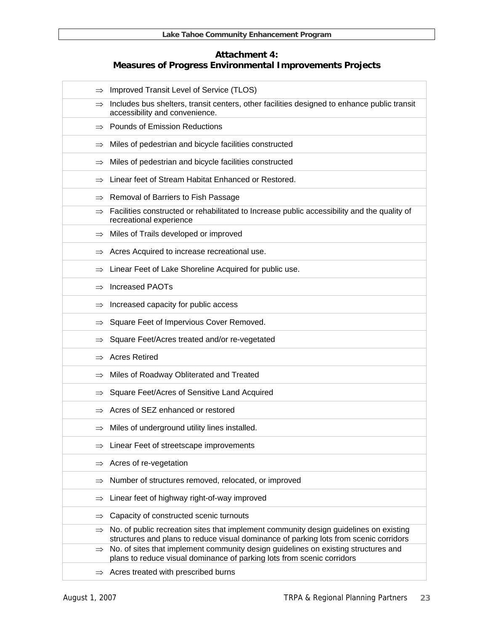# **Attachment 4: Measures of Progress Environmental Improvements Projects**

| $\Rightarrow$ | Improved Transit Level of Service (TLOS)                                                                                                                                       |
|---------------|--------------------------------------------------------------------------------------------------------------------------------------------------------------------------------|
| $\Rightarrow$ | Includes bus shelters, transit centers, other facilities designed to enhance public transit<br>accessibility and convenience.                                                  |
| $\Rightarrow$ | <b>Pounds of Emission Reductions</b>                                                                                                                                           |
| $\Rightarrow$ | Miles of pedestrian and bicycle facilities constructed                                                                                                                         |
| $\Rightarrow$ | Miles of pedestrian and bicycle facilities constructed                                                                                                                         |
|               | Linear feet of Stream Habitat Enhanced or Restored.                                                                                                                            |
| $\Rightarrow$ | Removal of Barriers to Fish Passage                                                                                                                                            |
| $\Rightarrow$ | Facilities constructed or rehabilitated to Increase public accessibility and the quality of<br>recreational experience                                                         |
|               | $\Rightarrow$ Miles of Trails developed or improved                                                                                                                            |
| $\Rightarrow$ | Acres Acquired to increase recreational use.                                                                                                                                   |
| $\Rightarrow$ | Linear Feet of Lake Shoreline Acquired for public use.                                                                                                                         |
| $\Rightarrow$ | <b>Increased PAOTs</b>                                                                                                                                                         |
| $\Rightarrow$ | Increased capacity for public access                                                                                                                                           |
| $\Rightarrow$ | Square Feet of Impervious Cover Removed.                                                                                                                                       |
| $\Rightarrow$ | Square Feet/Acres treated and/or re-vegetated                                                                                                                                  |
| $\Rightarrow$ | <b>Acres Retired</b>                                                                                                                                                           |
| $\Rightarrow$ | Miles of Roadway Obliterated and Treated                                                                                                                                       |
| $\Rightarrow$ | Square Feet/Acres of Sensitive Land Acquired                                                                                                                                   |
|               | Acres of SEZ enhanced or restored                                                                                                                                              |
| $\Rightarrow$ | Miles of underground utility lines installed.                                                                                                                                  |
|               | Linear Feet of streetscape improvements                                                                                                                                        |
| $\Rightarrow$ | Acres of re-vegetation                                                                                                                                                         |
| $\Rightarrow$ | Number of structures removed, relocated, or improved                                                                                                                           |
| $\Rightarrow$ | Linear feet of highway right-of-way improved                                                                                                                                   |
| $\Rightarrow$ | Capacity of constructed scenic turnouts                                                                                                                                        |
| $\Rightarrow$ | No. of public recreation sites that implement community design guidelines on existing<br>structures and plans to reduce visual dominance of parking lots from scenic corridors |
| $\Rightarrow$ | No. of sites that implement community design guidelines on existing structures and<br>plans to reduce visual dominance of parking lots from scenic corridors                   |
|               | Acres treated with prescribed burns                                                                                                                                            |